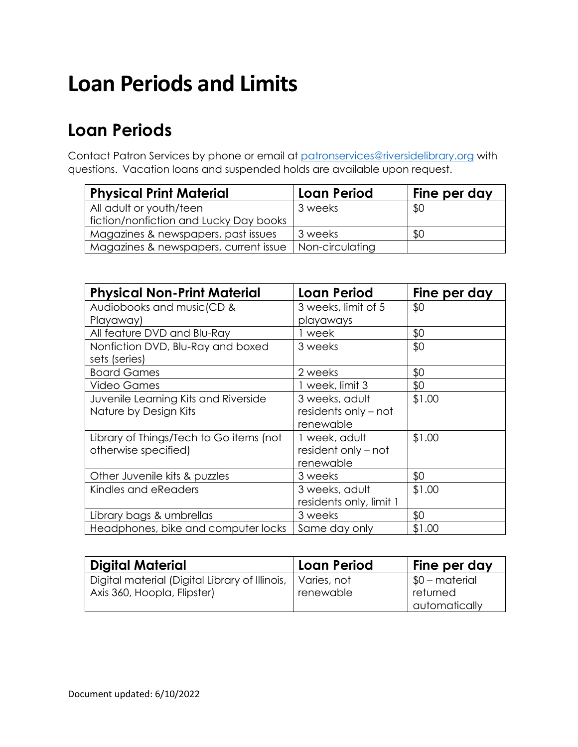# **Loan Periods and Limits**

### **Loan Periods**

Contact Patron Services by phone or email at [patronservices@riversidelibrary.org](mailto:patronservices@riversidelibrary.org) with questions. Vacation loans and suspended holds are available upon request.

| <b>Physical Print Material</b>         | <b>Loan Period</b> | Fine per day |
|----------------------------------------|--------------------|--------------|
| All adult or youth/teen                | 3 weeks            | \$0          |
| fiction/nonfiction and Lucky Day books |                    |              |
| Magazines & newspapers, past issues    | 3 weeks            | SO.          |
| Magazines & newspapers, current issue  | Non-circulating    |              |

| <b>Physical Non-Print Material</b>      | <b>Loan Period</b>      | Fine per day |
|-----------------------------------------|-------------------------|--------------|
| Audiobooks and music(CD &               | 3 weeks, limit of 5     | \$0          |
| Playaway)                               | playaways               |              |
| All feature DVD and Blu-Ray             | l week                  | \$0          |
| Nonfiction DVD, Blu-Ray and boxed       | 3 weeks                 | \$0          |
| sets (series)                           |                         |              |
| <b>Board Games</b>                      | 2 weeks                 | \$0          |
| <b>Video Games</b>                      | 1 week, limit 3         | \$0          |
| Juvenile Learning Kits and Riverside    | 3 weeks, adult          | \$1.00       |
| Nature by Design Kits                   | residents only – not    |              |
|                                         | renewable               |              |
| Library of Things/Tech to Go items (not | 1 week, adult           | \$1.00       |
| otherwise specified)                    | resident only – not     |              |
|                                         | renewable               |              |
| Other Juvenile kits & puzzles           | 3 weeks                 | \$0          |
| Kindles and eReaders                    | 3 weeks, adult          | \$1.00       |
|                                         | residents only, limit 1 |              |
| Library bags & umbrellas                | 3 weeks                 | \$0          |
| Headphones, bike and computer locks     | Same day only           | \$1.00       |

| <b>Digital Material</b>                                                                     | l Loan Period | Fine per day                |
|---------------------------------------------------------------------------------------------|---------------|-----------------------------|
| Digital material (Digital Library of Illinois,   Varies, not<br>Axis 360, Hoopla, Flipster) | renewable     | $$0$ – material<br>returned |
|                                                                                             |               | automatically               |